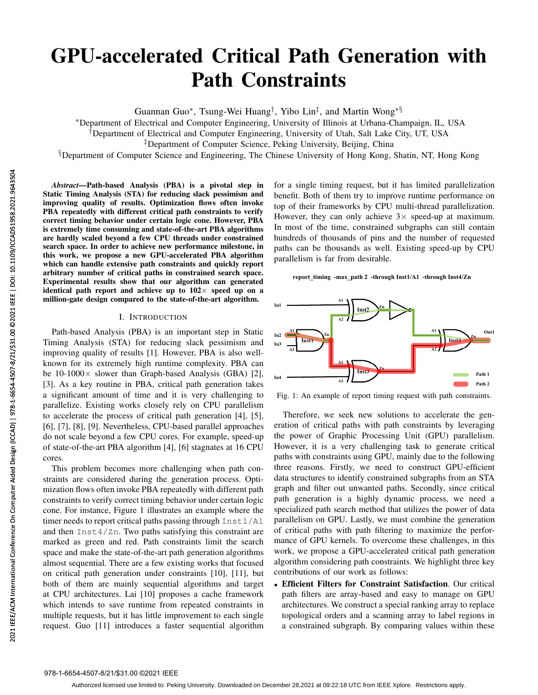# GPU-accelerated Critical Path Generation with Path Constraints

Guannan Guo<sup>∗</sup>, Tsung-Wei Huang<sup>†</sup>, Yibo Lin<sup>‡</sup>, and Martin Wong<sup>∗§</sup>

<sup>∗</sup>Department of Electrical and Computer Engineering, University of Illinois at Urbana-Champaign, IL, USA

†Department of Electrical and Computer Engineering, University of Utah, Salt Lake City, UT, USA

‡Department of Computer Science, Peking University, Beijing, China

§Department of Computer Science and Engineering, The Chinese University of Hong Kong, Shatin, NT, Hong Kong

*Abstract*—Path-based Analysis (PBA) is a pivotal step in Static Timing Analysis (STA) for reducing slack pessimism and improving quality of results. Optimization flows often invoke PBA repeatedly with different critical path constraints to verify correct timing behavior under certain logic cone. However, PBA is extremely time consuming and state-of-the-art PBA algorithms are hardly scaled beyond a few CPU threads under constrained search space. In order to achieve new performance milestone, in this work, we propose a new GPU-accelerated PBA algorithm which can handle extensive path constraints and quickly report arbitrary number of critical paths in constrained search space. Experimental results show that our algorithm can generated identical path report and achieve up to  $102\times$  speed up on a million-gate design compared to the state-of-the-art algorithm.

## I. INTRODUCTION

Path-based Analysis (PBA) is an important step in Static Timing Analysis (STA) for reducing slack pessimism and improving quality of results [1]. However, PBA is also wellknown for its extremely high runtime complexity. PBA can be  $10-1000 \times$  slower than Graph-based Analysis (GBA) [2], [3]. As a key routine in PBA, critical path generation takes a significant amount of time and it is very challenging to parallelize. Existing works closely rely on CPU parallelism to accelerate the process of critical path generation [4], [5], [6], [7], [8], [9]. Nevertheless, CPU-based parallel approaches do not scale beyond a few CPU cores. For example, speed-up of state-of-the-art PBA algorithm [4], [6] stagnates at 16 CPU cores.

This problem becomes more challenging when path constraints are considered during the generation process. Optimization flows often invoke PBA repeatedly with different path constraints to verify correct timing behavior under certain logic cone. For instance, Figure 1 illustrates an example where the timer needs to report critical paths passing through Inst1/A1 and then Inst4/Zn. Two paths satisfying this constraint are marked as green and red. Path constraints limit the search space and make the state-of-the-art path generation algorithms almost sequential. There are a few existing works that focused on critical path generation under constraints [10], [11], but both of them are mainly sequential algorithms and target at CPU architectures. Lai [10] proposes a cache framework which intends to save runtime from repeated constraints in multiple requests, but it has little improvement to each single request. Guo [11] introduces a faster sequential algorithm Abstract—Path-based Analysis (PB,<br>
Static Timing Analysis (STA) for reduce<br>
inproving quality of results. Optimizes<br>
PBA repeatedly with different critical p<br>
is extremely time consuming and state-ore are hardly scale bey

for a single timing request, but it has limited parallelization benefit. Both of them try to improve runtime performance on top of their frameworks by CPU multi-thread parallelization. However, they can only achieve  $3 \times$  speed-up at maximum. In most of the time, constrained subgraphs can still contain hundreds of thousands of pins and the number of requested paths can be thousands as well. Existing speed-up by CPU parallelism is far from desirable.

**report\_timing -max\_path 2 -through Inst1/A1 -through Inst4/Zn**



Fig. 1: An example of report timing request with path constraints.

Therefore, we seek new solutions to accelerate the generation of critical paths with path constraints by leveraging the power of Graphic Processing Unit (GPU) parallelism. However, it is a very challenging task to generate critical paths with constraints using GPU, mainly due to the following three reasons. Firstly, we need to construct GPU-efficient data structures to identify constrained subgraphs from an STA graph and filter out unwanted paths. Secondly, since critical path generation is a highly dynamic process, we need a specialized path search method that utilizes the power of data parallelism on GPU. Lastly, we must combine the generation of critical paths with path filtering to maximize the performance of GPU kernels. To overcome these challenges, in this work, we propose a GPU-accelerated critical path generation algorithm considering path constraints. We highlight three key contributions of our work as follows:

• Efficient Filters for Constraint Satisfaction. Our critical path filters are array-based and easy to manage on GPU architectures. We construct a special ranking array to replace topological orders and a scanning array to label regions in a constrained subgraph. By comparing values within these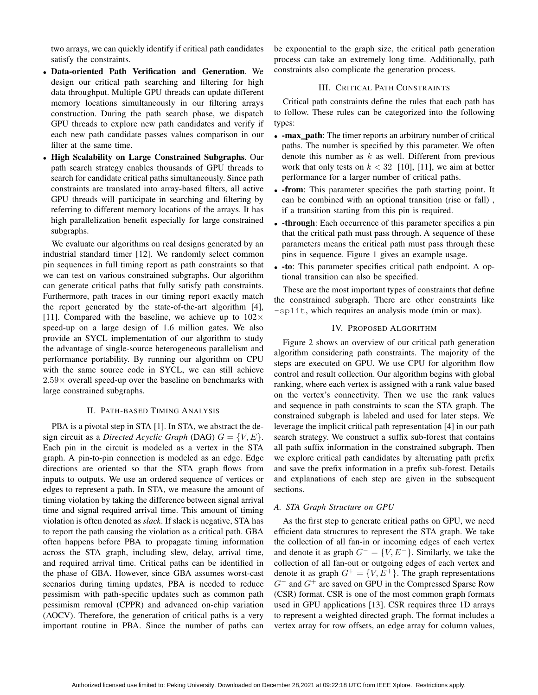two arrays, we can quickly identify if critical path candidates satisfy the constraints.

- Data-oriented Path Verification and Generation. We design our critical path searching and filtering for high data throughput. Multiple GPU threads can update different memory locations simultaneously in our filtering arrays construction. During the path search phase, we dispatch GPU threads to explore new path candidates and verify if each new path candidate passes values comparison in our filter at the same time.
- High Scalability on Large Constrained Subgraphs. Our path search strategy enables thousands of GPU threads to search for candidate critical paths simultaneously. Since path constraints are translated into array-based filters, all active GPU threads will participate in searching and filtering by referring to different memory locations of the arrays. It has high parallelization benefit especially for large constrained subgraphs.

We evaluate our algorithms on real designs generated by an industrial standard timer [12]. We randomly select common pin sequences in full timing report as path constraints so that we can test on various constrained subgraphs. Our algorithm can generate critical paths that fully satisfy path constraints. Furthermore, path traces in our timing report exactly match the report generated by the state-of-the-art algorithm [4], [11]. Compared with the baseline, we achieve up to  $102 \times$ speed-up on a large design of 1.6 million gates. We also provide an SYCL implementation of our algorithm to study the advantage of single-source heterogeneous parallelism and performance portability. By running our algorithm on CPU with the same source code in SYCL, we can still achieve  $2.59\times$  overall speed-up over the baseline on benchmarks with large constrained subgraphs.

## II. PATH-BASED TIMING ANALYSIS

PBA is a pivotal step in STA [1]. In STA, we abstract the design circuit as a *Directed Acyclic Graph* (DAG)  $G = \{V, E\}$ . Each pin in the circuit is modeled as a vertex in the STA graph. A pin-to-pin connection is modeled as an edge. Edge directions are oriented so that the STA graph flows from inputs to outputs. We use an ordered sequence of vertices or edges to represent a path. In STA, we measure the amount of timing violation by taking the difference between signal arrival time and signal required arrival time. This amount of timing violation is often denoted as *slack*. If slack is negative, STA has to report the path causing the violation as a critical path. GBA often happens before PBA to propagate timing information across the STA graph, including slew, delay, arrival time, and required arrival time. Critical paths can be identified in the phase of GBA. However, since GBA assumes worst-cast scenarios during timing updates, PBA is needed to reduce pessimism with path-specific updates such as common path pessimism removal (CPPR) and advanced on-chip variation (AOCV). Therefore, the generation of critical paths is a very important routine in PBA. Since the number of paths can

be exponential to the graph size, the critical path generation process can take an extremely long time. Additionally, path constraints also complicate the generation process.

## III. CRITICAL PATH CONSTRAINTS

Critical path constraints define the rules that each path has to follow. These rules can be categorized into the following types:

- -max\_path: The timer reports an arbitrary number of critical paths. The number is specified by this parameter. We often denote this number as  $k$  as well. Different from previous work that only tests on  $k < 32$  [10], [11], we aim at better performance for a larger number of critical paths.
- **-from**: This parameter specifies the path starting point. It can be combined with an optional transition (rise or fall) , if a transition starting from this pin is required.
- through: Each occurrence of this parameter specifies a pin that the critical path must pass through. A sequence of these parameters means the critical path must pass through these pins in sequence. Figure 1 gives an example usage.
- -to: This parameter specifies critical path endpoint. A optional transition can also be specified.

These are the most important types of constraints that define the constrained subgraph. There are other constraints like -split, which requires an analysis mode (min or max).

## IV. PROPOSED ALGORITHM

Figure 2 shows an overview of our critical path generation algorithm considering path constraints. The majority of the steps are executed on GPU. We use CPU for algorithm flow control and result collection. Our algorithm begins with global ranking, where each vertex is assigned with a rank value based on the vertex's connectivity. Then we use the rank values and sequence in path constraints to scan the STA graph. The constrained subgraph is labeled and used for later steps. We leverage the implicit critical path representation [4] in our path search strategy. We construct a suffix sub-forest that contains all path suffix information in the constrained subgraph. Then we explore critical path candidates by alternating path prefix and save the prefix information in a prefix sub-forest. Details and explanations of each step are given in the subsequent sections.

## *A. STA Graph Structure on GPU*

As the first step to generate critical paths on GPU, we need efficient data structures to represent the STA graph. We take the collection of all fan-in or incoming edges of each vertex and denote it as graph  $G^- = \{V, E^-\}$ . Similarly, we take the collection of all fan-out or outgoing edges of each vertex and denote it as graph  $G^+ = \{V, E^+\}$ . The graph representations  $G^-$  and  $G^+$  are saved on GPU in the Compressed Sparse Row (CSR) format. CSR is one of the most common graph formats used in GPU applications [13]. CSR requires three 1D arrays to represent a weighted directed graph. The format includes a vertex array for row offsets, an edge array for column values,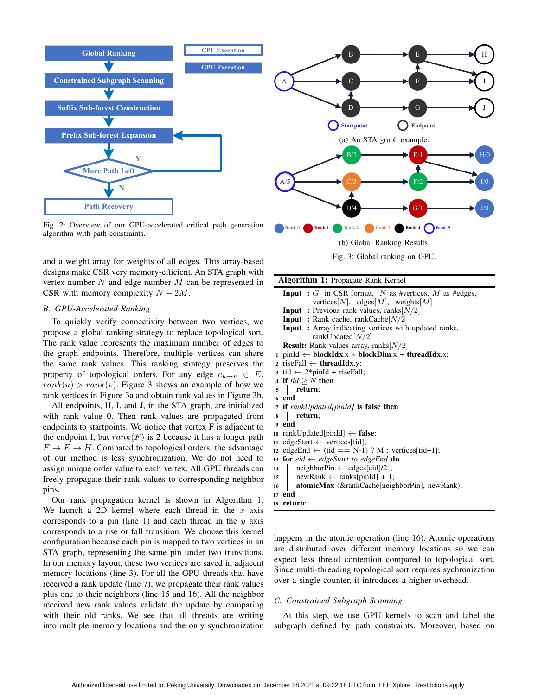

Fig. 2: Overview of our GPU-accelerated critical path generation algorithm with path constraints.

and a weight array for weights of all edges. This array-based designs make CSR very memory-efficient. An STA graph with vertex number  $N$  and edge number  $M$  can be represented in CSR with memory complexity  $N + 2M$ .

# *B. GPU-Accelerated Ranking*

To quickly verify connectivity between two vertices, we propose a global ranking strategy to replace topological sort. The rank value represents the maximum number of edges to the graph endpoints. Therefore, multiple vertices can share the same rank values. This ranking strategy preserves the property of topological orders. For any edge  $e_{u\to v} \in E$ ,  $rank(u) > rank(v)$ . Figure 3 shows an example of how we rank vertices in Figure 3a and obtain rank values in Figure 3b.

All endpoints, H, I, and J, in the STA graph, are initialized with rank value 0. Then rank values are propagated from endpoints to startpoints. We notice that vertex F is adjacent to the endpoint I, but  $rank(F)$  is 2 because it has a longer path  $F \to E \to H$ . Compared to topological orders, the advantage of our method is less synchronization. We do not need to assign unique order value to each vertex. All GPU threads can freely propagate their rank values to corresponding neighbor pins.

Our rank propagation kernel is shown in Algorithm 1. We launch a 2D kernel where each thread in the  $x$  axis corresponds to a pin (line 1) and each thread in the  $y$  axis corresponds to a rise or fall transition. We choose this kernel configuration because each pin is mapped to two vertices in an STA graph, representing the same pin under two transitions. In our memory layout, these two vertices are saved in adjacent memory locations (line 3). For all the GPU threads that have received a rank update (line 7), we propagate their rank values plus one to their neighbors (line 15 and 16). All the neighbor received new rank values validate the update by comparing with their old ranks. We see that all threads are writing into multiple memory locations and the only synchronization



Fig. 3: Global ranking on GPU.

| Algorithm 1: Propagate Rank Kernel |  |  |  |  |
|------------------------------------|--|--|--|--|
|------------------------------------|--|--|--|--|

**Input** :  $G^{-}$  in CSR format, N as #vertices, M as #edges, vertices[N], edges[M], weights[M] **Input** : Previous rank values, ranks $[N/2]$ **Input** : Rank cache, rankCache $[N/2]$ Input : Array indicating vertices with updated ranks, rankUpdated $[N/2]$ **Result:** Rank values array, ranks $[N/2]$ 1 pinId  $\leftarrow$  blockIdx.x  $*$  blockDim.x + threadIdx.x; 2 riseFall  $\leftarrow$  threadIdx.y; 3 tid  $\leftarrow$  2\*pinId + riseFall; 4 if  $tid \geq N$  then <sup>5</sup> return; <sup>6</sup> end <sup>7</sup> if *rankUpdated[pinId]* is false then <sup>8</sup> return; <sup>9</sup> end <sup>10</sup> rankUpdated[pinId] ← false; 11 edgeStart  $\leftarrow$  vertices[tid]; 12 edgeEnd  $\leftarrow$  (tid == N-1) ? M : vertices[tid+1]; <sup>13</sup> for *eid* ← *edgeStart to edgeEnd* do 14 neighborPin  $\leftarrow$  edges[eid]/2 ; 15 newRank  $\leftarrow$  ranks[pinId] + 1; 16 **atomicMax** (&rankCache[neighborPin], newRank); <sup>17</sup> end <sup>18</sup> return;

happens in the atomic operation (line 16). Atomic operations are distributed over different memory locations so we can expect less thread contention compared to topological sort. Since multi-threading topological sort requires sychronization over a single counter, it introduces a higher overhead.

## *C. Constrained Subgraph Scanning*

At this step, we use GPU kernels to scan and label the subgraph defined by path constraints. Moreover, based on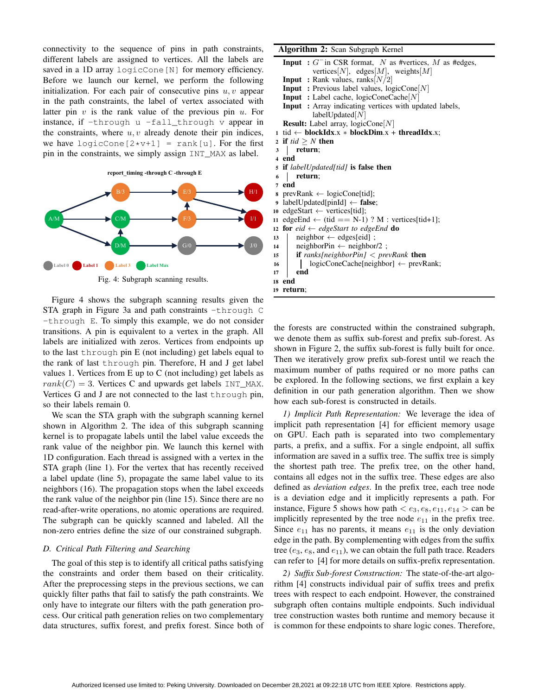connectivity to the sequence of pins in path constraints, different labels are assigned to vertices. All the labels are saved in a 1D array logicCone [N] for memory efficiency. Before we launch our kernel, we perform the following initialization. For each pair of consecutive pins  $u, v$  appear in the path constraints, the label of vertex associated with latter pin  $v$  is the rank value of the previous pin  $u$ . For instance, if  $-th$ rough u  $-fall$  through v appear in the constraints, where  $u, v$  already denote their pin indices, we have logicCone  $[2*v+1]$  = rank [u]. For the first pin in the constraints, we simply assign INT\_MAX as label.



Figure 4 shows the subgraph scanning results given the STA graph in Figure 3a and path constraints -through C -through E. To simply this example, we do not consider transitions. A pin is equivalent to a vertex in the graph. All labels are initialized with zeros. Vertices from endpoints up to the last through pin E (not including) get labels equal to the rank of last through pin. Therefore, H and J get label values 1. Vertices from E up to C (not including) get labels as  $rank(C) = 3$ . Vertices C and upwards get labels INT\_MAX. Vertices G and J are not connected to the last through pin, so their labels remain 0.

We scan the STA graph with the subgraph scanning kernel shown in Algorithm 2. The idea of this subgraph scanning kernel is to propagate labels until the label value exceeds the rank value of the neighbor pin. We launch this kernel with 1D configuration. Each thread is assigned with a vertex in the STA graph (line 1). For the vertex that has recently received a label update (line 5), propagate the same label value to its neighbors (16). The propagation stops when the label exceeds the rank value of the neighbor pin (line 15). Since there are no read-after-write operations, no atomic operations are required. The subgraph can be quickly scanned and labeled. All the non-zero entries define the size of our constrained subgraph.

## *D. Critical Path Filtering and Searching*

The goal of this step is to identify all critical paths satisfying the constraints and order them based on their criticality. After the preprocessing steps in the previous sections, we can quickly filter paths that fail to satisfy the path constraints. We only have to integrate our filters with the path generation process. Our critical path generation relies on two complementary data structures, suffix forest, and prefix forest. Since both of

#### Algorithm 2: Scan Subgraph Kernel

- **Input** :  $G^{-}$  in CSR format, N as #vertices, M as #edges, vertices[N], edges[M], weights[M]
- **Input** : Rank values, ranks $[N/2]$
- Input : Previous label values, logicCone[N]
- Input : Label cache, logicConeCache[N]
- Input : Array indicating vertices with updated labels, labelUpdated $[N]$

**Result:** Label array,  $logicCone[N]$ 

1 tid ← blockIdx.x \* blockDim.x + threadIdx.x;

- 2 if  $tid \geq N$  then
- <sup>3</sup> return;
- <sup>4</sup> end
- <sup>5</sup> if *labelUpdated[tid]* is false then
- <sup>6</sup> return;
- <sup>7</sup> end
- 8 prevRank  $\leftarrow$  logicCone[tid];
- <sup>9</sup> labelUpdated[pinId] ← false;
- 10 edgeStart  $\leftarrow$  vertices[tid];
- 11 edgeEnd  $\leftarrow$  (tid == N-1) ? M : vertices[tid+1];
- 12 for  $eid \leftarrow edgeStart$  to edgeEnd **do**
- 13 neighbor  $\leftarrow$  edges[eid];
- 14 neighborPin  $\leftarrow$  neighbor/2 ;
- <sup>15</sup> if *ranks[neighborPin]* < *prevRank* then
- <sup>16</sup> logicConeCache[neighbor] ← prevRank;
- $17$  end <sup>18</sup> end
- <sup>19</sup> return;

the forests are constructed within the constrained subgraph, we denote them as suffix sub-forest and prefix sub-forest. As shown in Figure 2, the suffix sub-forest is fully built for once. Then we iteratively grow prefix sub-forest until we reach the maximum number of paths required or no more paths can be explored. In the following sections, we first explain a key definition in our path generation algorithm. Then we show how each sub-forest is constructed in details.

*1) Implicit Path Representation:* We leverage the idea of implicit path representation [4] for efficient memory usage on GPU. Each path is separated into two complementary parts, a prefix, and a suffix. For a single endpoint, all suffix information are saved in a suffix tree. The suffix tree is simply the shortest path tree. The prefix tree, on the other hand, contains all edges not in the suffix tree. These edges are also defined as *deviation edges*. In the prefix tree, each tree node is a deviation edge and it implicitly represents a path. For instance, Figure 5 shows how path  $\lt e_3$ ,  $e_8$ ,  $e_{11}$ ,  $e_{14}$   $\gt$  can be implicitly represented by the tree node  $e_{11}$  in the prefix tree. Since  $e_{11}$  has no parents, it means  $e_{11}$  is the only deviation edge in the path. By complementing with edges from the suffix tree ( $e_3$ ,  $e_8$ , and  $e_{11}$ ), we can obtain the full path trace. Readers can refer to [4] for more details on suffix-prefix representation.

*2) Suffix Sub-forest Construction:* The state-of-the-art algorithm [4] constructs individual pair of suffix trees and prefix trees with respect to each endpoint. However, the constrained subgraph often contains multiple endpoints. Such individual tree construction wastes both runtime and memory because it is common for these endpoints to share logic cones. Therefore,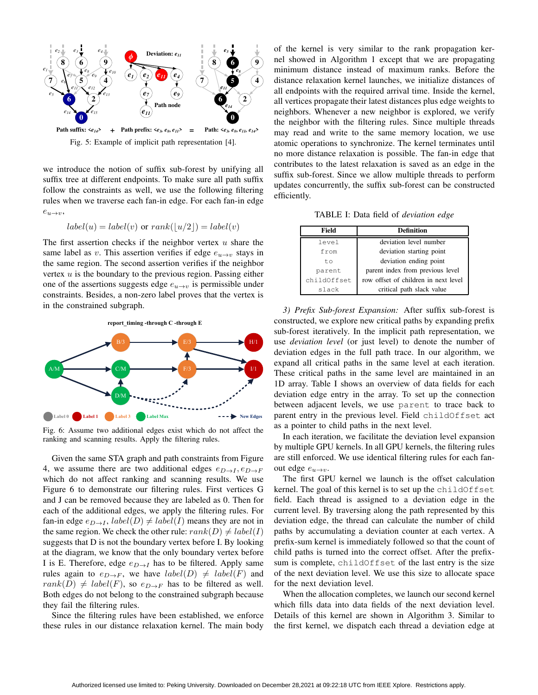

Fig. 5: Example of implicit path representation [4].

we introduce the notion of suffix sub-forest by unifying all suffix tree at different endpoints. To make sure all path suffix follow the constraints as well, we use the following filtering rules when we traverse each fan-in edge. For each fan-in edge  $e_{u\to v}$ ,

$$
label(u) = label(v) \text{ or } rank(\lfloor u/2 \rfloor) = label(v)
$$

The first assertion checks if the neighbor vertex  $u$  share the same label as v. This assertion verifies if edge  $e_{u\rightarrow v}$  stays in the same region. The second assertion verifies if the neighbor vertex  $u$  is the boundary to the previous region. Passing either one of the assertions suggests edge  $e_{u\rightarrow v}$  is permissible under constraints. Besides, a non-zero label proves that the vertex is in the constrained subgraph.



Fig. 6: Assume two additional edges exist which do not affect the ranking and scanning results. Apply the filtering rules.

Given the same STA graph and path constraints from Figure 4, we assume there are two additional edges  $e_{D\rightarrow I}, e_{D\rightarrow F}$ which do not affect ranking and scanning results. We use Figure 6 to demonstrate our filtering rules. First vertices G and J can be removed because they are labeled as 0. Then for each of the additional edges, we apply the filtering rules. For fan-in edge  $e_{D\rightarrow I}$ ,  $label(D) \neq label(I)$  means they are not in the same region. We check the other rule:  $rank(D) \neq label(I)$ suggests that D is not the boundary vertex before I. By looking at the diagram, we know that the only boundary vertex before I is E. Therefore, edge  $e_{D\rightarrow I}$  has to be filtered. Apply same rules again to  $e_{D\to F}$ , we have  $label(D) \neq label(F)$  and  $rank(D) \neq label(F)$ , so  $e_{D\rightarrow F}$  has to be filtered as well. Both edges do not belong to the constrained subgraph because they fail the filtering rules.

Since the filtering rules have been established, we enforce these rules in our distance relaxation kernel. The main body

of the kernel is very similar to the rank propagation kernel showed in Algorithm 1 except that we are propagating minimum distance instead of maximum ranks. Before the distance relaxation kernel launches, we initialize distances of all endpoints with the required arrival time. Inside the kernel, all vertices propagate their latest distances plus edge weights to neighbors. Whenever a new neighbor is explored, we verify the neighbor with the filtering rules. Since multiple threads may read and write to the same memory location, we use atomic operations to synchronize. The kernel terminates until no more distance relaxation is possible. The fan-in edge that contributes to the latest relaxation is saved as an edge in the suffix sub-forest. Since we allow multiple threads to perform updates concurrently, the suffix sub-forest can be constructed efficiently.

TABLE I: Data field of *deviation edge*

| Field       | <b>Definition</b>                    |  |  |
|-------------|--------------------------------------|--|--|
| level       | deviation level number               |  |  |
| from        | deviation starting point             |  |  |
| t.o         | deviation ending point               |  |  |
| parent      | parent index from previous level     |  |  |
| childOffset | row offset of children in next level |  |  |
| slack       | critical path slack value            |  |  |

*3) Prefix Sub-forest Expansion:* After suffix sub-forest is constructed, we explore new critical paths by expanding prefix sub-forest iteratively. In the implicit path representation, we use *deviation level* (or just level) to denote the number of deviation edges in the full path trace. In our algorithm, we expand all critical paths in the same level at each iteration. These critical paths in the same level are maintained in an 1D array. Table I shows an overview of data fields for each deviation edge entry in the array. To set up the connection between adjacent levels, we use parent to trace back to parent entry in the previous level. Field childOffset act as a pointer to child paths in the next level.

In each iteration, we facilitate the deviation level expansion by multiple GPU kernels. In all GPU kernels, the filtering rules are still enforced. We use identical filtering rules for each fanout edge  $e_{u\rightarrow v}$ .

The first GPU kernel we launch is the offset calculation kernel. The goal of this kernel is to set up the childOffset field. Each thread is assigned to a deviation edge in the current level. By traversing along the path represented by this deviation edge, the thread can calculate the number of child paths by accumulating a deviation counter at each vertex. A prefix-sum kernel is immediately followed so that the count of child paths is turned into the correct offset. After the prefixsum is complete, childOffset of the last entry is the size of the next deviation level. We use this size to allocate space for the next deviation level.

When the allocation completes, we launch our second kernel which fills data into data fields of the next deviation level. Details of this kernel are shown in Algorithm 3. Similar to the first kernel, we dispatch each thread a deviation edge at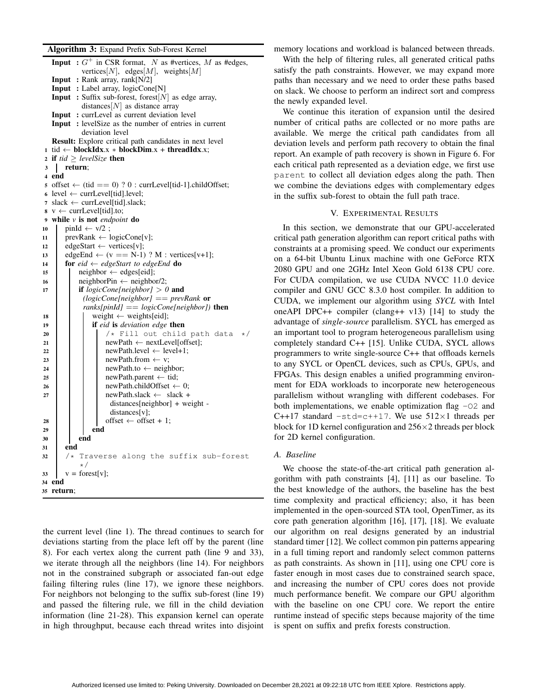#### Algorithm 3: Expand Prefix Sub-Forest Kernel

**Input** :  $G^+$  in CSR format, N as #vertices, M as #edges, vertices[N], edges[M], weights[M] Input : Rank array, rank[N/2] Input : Label array, logicCone[N] **Input** : Suffix sub-forest, forest[N] as edge array, distances $[N]$  as distance array Input : currLevel as current deviation level Input : levelSize as the number of entries in current deviation level Result: Explore critical path candidates in next level 1 tid ← blockIdx.x \* blockDim.x + threadIdx.x; 2 if  $tid \geq levelSize$  then <sup>3</sup> return; <sup>4</sup> end 5 offset  $\leftarrow$  (tid == 0) ? 0 : currLevel[tid-1].childOffset; 6 level  $\leftarrow$  currLevel[tid].level; 7 slack  $\leftarrow$  currLevel[tid].slack;  $8 \text{ v} \leftarrow \text{currLevel}[\text{tid}].\text{to};$ <sup>9</sup> while *v* is not *endpoint* do  $10$  pinId  $\leftarrow$  v/2; 11 prevRank  $\leftarrow$  logicCone[v]; <sup>12</sup> edgeStart ← vertices[v]; 13 edgeEnd  $\leftarrow$  (v == N-1) ? M : vertices[v+1]; 14 **for**  $eid \leftarrow edgeStart$  to edgeEnd **do** 15 | neighbor  $\leftarrow$  edges[eid]; 16 neighborPin  $\leftarrow$  neighbor/2; <sup>17</sup> if *logicCone[neighbor]* > *0* and *(logicCone[neighbor]* == *prevRank* or *ranks[pinId]* == *logicCone[neighbor])* then 18 weight  $\leftarrow$  weights[eid]; <sup>19</sup> if *eid* is *deviation edge* then 20  $\begin{vmatrix} 2 & 1 \\ 2 & 2 \end{vmatrix}$   $\begin{vmatrix} 2 & 3 \\ 3 & 2 \end{vmatrix}$   $\begin{vmatrix} 2 & 3 \\ 3 & 2 \end{vmatrix}$   $\begin{vmatrix} 2 & 3 \\ 3 & 2 \end{vmatrix}$   $\begin{vmatrix} 2 & 3 \\ 3 & 2 \end{vmatrix}$   $\begin{vmatrix} 2 & 3 \\ 3 & 2 \end{vmatrix}$   $\begin{vmatrix} 2 & 3 \\ 3 & 2 \end{vmatrix}$   $\begin{vmatrix} 2 & 3 \\ 3 & 2 \end{vmatrix}$   $\begin{vmatrix} 2 &$ newPath ← nextLevel[offset]; 22 | | | newPath.level  $\leftarrow$  level+1;  $23$  | | | | newPath.from  $\leftarrow$  v; 24 | | | newPath.to  $\leftarrow$  neighbor; 25  $\vert$   $\vert$  newPath.parent  $\leftarrow$  tid; 26 | | | newPath.childOffset  $\leftarrow 0$ ;  $27$  | | newPath.slack  $\leftarrow$  slack + distances[neighbor] + weight distances[v];  $28$  | | | offset  $\leftarrow$  offset + 1; 29 | | | end <sup>30</sup> end <sup>31</sup> end  $32$  /\* Traverse along the suffix sub-forest \*/  $33 \quad v = \text{forest}[v];$ <sup>34</sup> end <sup>35</sup> return;

the current level (line 1). The thread continues to search for deviations starting from the place left off by the parent (line 8). For each vertex along the current path (line 9 and 33), we iterate through all the neighbors (line 14). For neighbors not in the constrained subgraph or associated fan-out edge failing filtering rules (line 17), we ignore these neighbors. For neighbors not belonging to the suffix sub-forest (line 19) and passed the filtering rule, we fill in the child deviation information (line 21-28). This expansion kernel can operate in high throughput, because each thread writes into disjoint

memory locations and workload is balanced between threads.

With the help of filtering rules, all generated critical paths satisfy the path constraints. However, we may expand more paths than necessary and we need to order these paths based on slack. We choose to perform an indirect sort and compress the newly expanded level.

We continue this iteration of expansion until the desired number of critical paths are collected or no more paths are available. We merge the critical path candidates from all deviation levels and perform path recovery to obtain the final report. An example of path recovery is shown in Figure 6. For each critical path represented as a deviation edge, we first use parent to collect all deviation edges along the path. Then we combine the deviations edges with complementary edges in the suffix sub-forest to obtain the full path trace.

# V. EXPERIMENTAL RESULTS

In this section, we demonstrate that our GPU-accelerated critical path generation algorithm can report critical paths with constraints at a promising speed. We conduct our experiments on a 64-bit Ubuntu Linux machine with one GeForce RTX 2080 GPU and one 2GHz Intel Xeon Gold 6138 CPU core. For CUDA compilation, we use CUDA NVCC 11.0 device compiler and GNU GCC 8.3.0 host compiler. In addition to CUDA, we implement our algorithm using *SYCL* with Intel oneAPI DPC++ compiler (clang++  $v13$ ) [14] to study the advantage of *single-source* parallelism. SYCL has emerged as an important tool to program heterogeneous parallelism using completely standard C++ [15]. Unlike CUDA, SYCL allows programmers to write single-source C++ that offloads kernels to any SYCL or OpenCL devices, such as CPUs, GPUs, and FPGAs. This design enables a unified programming environment for EDA workloads to incorporate new heterogeneous parallelism without wrangling with different codebases. For both implementations, we enable optimization flag  $-02$  and C++17 standard  $-$ std=c++17. We use  $512\times1$  threads per block for 1D kernel configuration and  $256\times2$  threads per block for 2D kernel configuration.

## *A. Baseline*

We choose the state-of-the-art critical path generation algorithm with path constraints [4], [11] as our baseline. To the best knowledge of the authors, the baseline has the best time complexity and practical efficiency; also, it has been implemented in the open-sourced STA tool, OpenTimer, as its core path generation algorithm [16], [17], [18]. We evaluate our algorithm on real designs generated by an industrial standard timer [12]. We collect common pin patterns appearing in a full timing report and randomly select common patterns as path constraints. As shown in [11], using one CPU core is faster enough in most cases due to constrained search space, and increasing the number of CPU cores does not provide much performance benefit. We compare our GPU algorithm with the baseline on one CPU core. We report the entire runtime instead of specific steps because majority of the time is spent on suffix and prefix forests construction.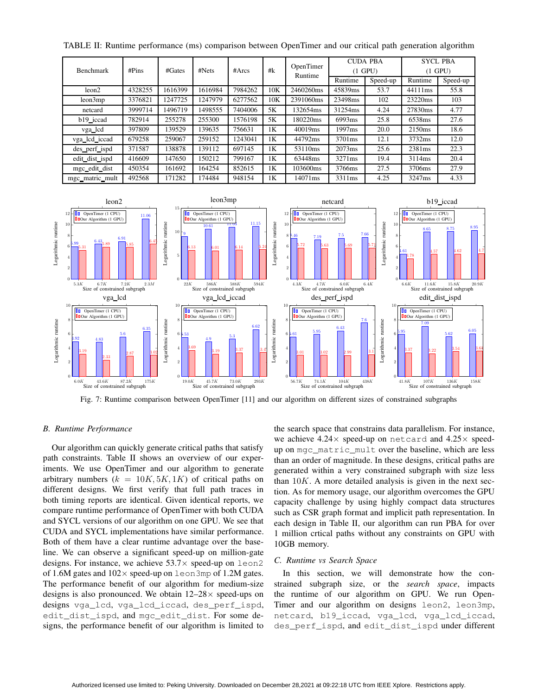| <b>Benchmark</b> | #Pins<br>#Gates | #Nets   | #Arcs   | #k      | OpenTimer | <b>CUDA PBA</b><br>$(1$ GPU) |                    | <b>SYCL PBA</b><br>$(1$ GPU) |                    |          |
|------------------|-----------------|---------|---------|---------|-----------|------------------------------|--------------------|------------------------------|--------------------|----------|
|                  |                 |         |         |         |           | Runtime                      | Runtime            | Speed-up                     | Runtime            | Speed-up |
| leon2            | 4328255         | 1616399 | 1616984 | 7984262 | 10K       | 2460260ms                    | 45839ms            | 53.7                         | 44111ms            | 55.8     |
| leon3mp          | 3376821         | 1247725 | 1247979 | 6277562 | 10K       | 2391060ms                    | 23498ms            | 102                          | 23220ms            | 103      |
| netcard          | 3999714         | 1496719 | 1498555 | 7404006 | 5K        | 132654ms                     | 31254ms            | 4.24                         | 27830ms            | 4.77     |
| b19_iccad        | 782914          | 255278  | 255300  | 1576198 | 5K        | 180220ms                     | 6993ms             | 25.8                         | 6538ms             | 27.6     |
| vga_lcd          | 397809          | 139529  | 139635  | 756631  | 1K        | 40019ms                      | 1997 <sub>ms</sub> | 20.0                         | 2150 <sub>ms</sub> | 18.6     |
| vga lcd iccad    | 679258          | 259067  | 259152  | 1243041 | 1K        | 44792ms                      | 3701ms             | 12.1                         | 3732ms             | 12.0     |
| des_perf_ispd    | 371587          | 138878  | 139112  | 697145  | 1K        | 53110ms                      | 2073ms             | 25.6                         | 2381ms             | 22.3     |
| edit_dist_ispd   | 416609          | 147650  | 150212  | 799167  | 1K        | 63448ms                      | 3271ms             | 19.4                         | 3114ms             | 20.4     |
| mgc edit dist    | 450354          | 161692  | 164254  | 852615  | 1K        | 103600ms                     | 3766ms             | 27.5                         | 3706ms             | 27.9     |
| mgc_matric_mult  | 492568          | 171282  | 174484  | 948154  | 1Κ        | 14071ms                      | 3311ms             | 4.25                         | 3247ms             | 4.33     |

TABLE II: Runtime performance (ms) comparison between OpenTimer and our critical path generation algorithm



Fig. 7: Runtime comparison between OpenTimer [11] and our algorithm on different sizes of constrained subgraphs

## *B. Runtime Performance*

Our algorithm can quickly generate critical paths that satisfy path constraints. Table II shows an overview of our experiments. We use OpenTimer and our algorithm to generate arbitrary numbers  $(k = 10K, 5K, 1K)$  of critical paths on different designs. We first verify that full path traces in both timing reports are identical. Given identical reports, we compare runtime performance of OpenTimer with both CUDA and SYCL versions of our algorithm on one GPU. We see that CUDA and SYCL implementations have similar performance. Both of them have a clear runtime advantage over the baseline. We can observe a significant speed-up on million-gate designs. For instance, we achieve  $53.7\times$  speed-up on leon2 of 1.6M gates and  $102 \times$  speed-up on leon3mp of 1.2M gates. The performance benefit of our algorithm for medium-size designs is also pronounced. We obtain  $12-28\times$  speed-ups on designs vga\_lcd, vga\_lcd\_iccad, des\_perf\_ispd, edit\_dist\_ispd, and mgc\_edit\_dist. For some designs, the performance benefit of our algorithm is limited to

the search space that constrains data parallelism. For instance, we achieve  $4.24 \times$  speed-up on netcard and  $4.25 \times$  speedup on mgc\_matric\_mult over the baseline, which are less than an order of magnitude. In these designs, critical paths are generated within a very constrained subgraph with size less than  $10K$ . A more detailed analysis is given in the next section. As for memory usage, our algorithm overcomes the GPU capacity challenge by using highly compact data structures such as CSR graph format and implicit path representation. In each design in Table II, our algorithm can run PBA for over 1 million crtical paths without any constraints on GPU with 10GB memory.

## *C. Runtime vs Search Space*

In this section, we will demonstrate how the constrained subgraph size, or the *search space*, impacts the runtime of our algorithm on GPU. We run Open-Timer and our algorithm on designs leon2, leon3mp, netcard, b19\_iccad, vga\_lcd, vga\_lcd\_iccad, des\_perf\_ispd, and edit\_dist\_ispd under different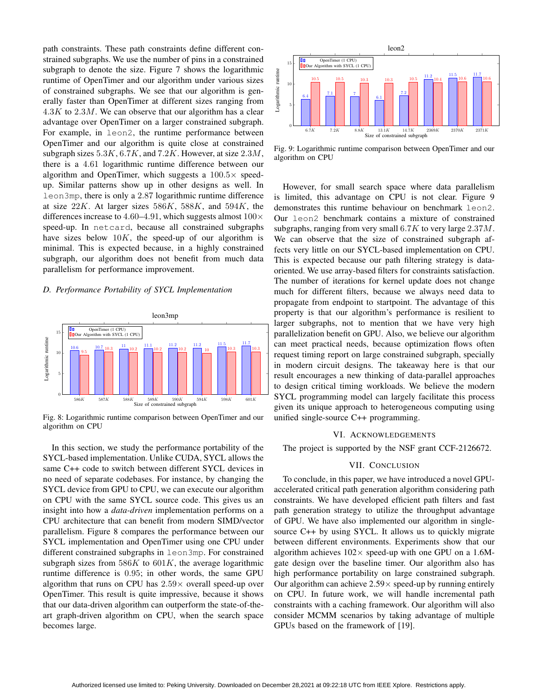path constraints. These path constraints define different constrained subgraphs. We use the number of pins in a constrained subgraph to denote the size. Figure 7 shows the logarithmic runtime of OpenTimer and our algorithm under various sizes of constrained subgraphs. We see that our algorithm is generally faster than OpenTimer at different sizes ranging from  $4.3K$  to  $2.3M$ . We can observe that our algorithm has a clear advantage over OpenTimer on a larger constrained subgraph. For example, in leon2, the runtime performance between OpenTimer and our algorithm is quite close at constrained subgraph sizes  $5.3K, 6.7K,$  and  $7.2K$ . However, at size  $2.3M$ , there is a 4.61 logarithmic runtime difference between our algorithm and OpenTimer, which suggests a  $100.5\times$  speedup. Similar patterns show up in other designs as well. In leon3mp, there is only a 2.87 logarithmic runtime difference at size  $22K$ . At larger sizes  $586K$ ,  $588K$ , and  $594K$ , the differences increase to 4.60–4.91, which suggests almost  $100 \times$ speed-up. In netcard, because all constrained subgraphs have sizes below  $10K$ , the speed-up of our algorithm is minimal. This is expected because, in a highly constrained subgraph, our algorithm does not benefit from much data parallelism for performance improvement.

## *D. Performance Portability of SYCL Implementation*



Fig. 8: Logarithmic runtime comparison between OpenTimer and our algorithm on CPU

In this section, we study the performance portability of the SYCL-based implementation. Unlike CUDA, SYCL allows the same C++ code to switch between different SYCL devices in no need of separate codebases. For instance, by changing the SYCL device from GPU to CPU, we can execute our algorithm on CPU with the same SYCL source code. This gives us an insight into how a *data-driven* implementation performs on a CPU architecture that can benefit from modern SIMD/vector parallelism. Figure 8 compares the performance between our SYCL implementation and OpenTimer using one CPU under different constrained subgraphs in leon3mp. For constrained subgraph sizes from  $586K$  to  $601K$ , the average logarithmic runtime difference is 0.95; in other words, the same GPU algorithm that runs on CPU has  $2.59\times$  overall speed-up over OpenTimer. This result is quite impressive, because it shows that our data-driven algorithm can outperform the state-of-theart graph-driven algorithm on CPU, when the search space becomes large.



Fig. 9: Logarithmic runtime comparison between OpenTimer and our algorithm on CPU

However, for small search space where data parallelism is limited, this advantage on CPU is not clear. Figure 9 demonstrates this runtime behaviour on benchmark leon2. Our leon2 benchmark contains a mixture of constrained subgraphs, ranging from very small  $6.7K$  to very large  $2.37M$ . We can observe that the size of constrained subgraph affects very little on our SYCL-based implementation on CPU. This is expected because our path filtering strategy is dataoriented. We use array-based filters for constraints satisfaction. The number of iterations for kernel update does not change much for different filters, because we always need data to propagate from endpoint to startpoint. The advantage of this property is that our algorithm's performance is resilient to larger subgraphs, not to mention that we have very high parallelization benefit on GPU. Also, we believe our algorithm can meet practical needs, because optimization flows often request timing report on large constrained subgraph, specially in modern circuit designs. The takeaway here is that our result encourages a new thinking of data-parallel approaches to design critical timing workloads. We believe the modern SYCL programming model can largely facilitate this process given its unique approach to heterogeneous computing using unified single-source C++ programming.

#### VI. ACKNOWLEDGEMENTS

The project is supported by the NSF grant CCF-2126672.

#### VII. CONCLUSION

To conclude, in this paper, we have introduced a novel GPUaccelerated critical path generation algorithm considering path constraints. We have developed efficient path filters and fast path generation strategy to utilize the throughput advantage of GPU. We have also implemented our algorithm in singlesource C++ by using SYCL. It allows us to quickly migrate between different environments. Experiments show that our algorithm achieves  $102 \times$  speed-up with one GPU on a 1.6Mgate design over the baseline timer. Our algorithm also has high performance portability on large constrained subgraph. Our algorithm can achieve  $2.59 \times$  speed-up by running entirely on CPU. In future work, we will handle incremental path constraints with a caching framework. Our algorithm will also consider MCMM scenarios by taking advantage of multiple GPUs based on the framework of [19].